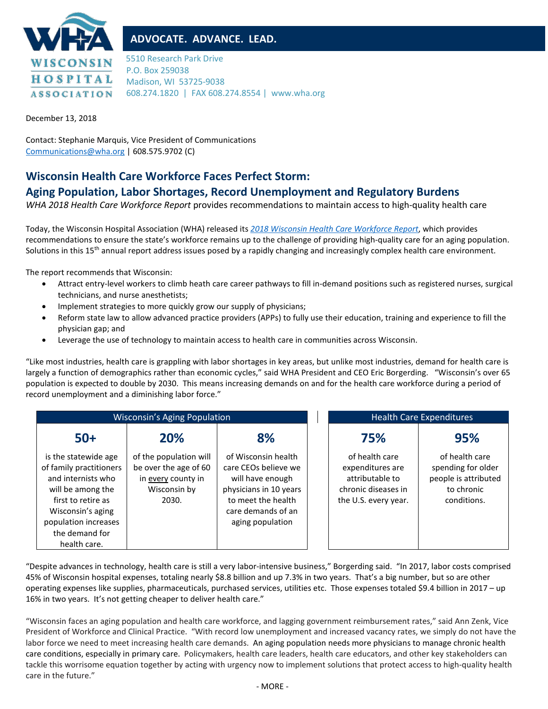

## **ADVOCATE. ADVANCE. LEAD.**

5510 Research Park Drive P.O. Box 259038 Madison, WI 53725-9038 608.274.1820 | FAX 608.274.8554 | www.wha.org

December 13, 2018

Contact: Stephanie Marquis, Vice President of Communications [Communications@wha.org](mailto:Communications@wha.org) | 608.575.9702 (C)

## **Wisconsin Health Care Workforce Faces Perfect Storm:**

## **Aging Population, Labor Shortages, Record Unemployment and Regulatory Burdens**

*WHA 2018 Health Care Workforce Report* provides recommendations to maintain access to high-quality health care

Today, the Wisconsin Hospital Association (WHA) released its *[2018 Wisconsin Health Care Workforce Report](https://www.wha.org/WisconsinHospitalAssociation/media/WHA-Reports/2018_Workforce_Report.pdf)*, which provides recommendations to ensure the state's workforce remains up to the challenge of providing high-quality care for an aging population. Solutions in this 15<sup>th</sup> annual report address issues posed by a rapidly changing and increasingly complex health care environment.

The report recommends that Wisconsin:

- Attract entry-level workers to climb heath care career pathways to fill in-demand positions such as registered nurses, surgical technicians, and nurse anesthetists;
- Implement strategies to more quickly grow our supply of physicians;
- Reform state law to allow advanced practice providers (APPs) to fully use their education, training and experience to fill the physician gap; and
- Leverage the use of technology to maintain access to health care in communities across Wisconsin.

"Like most industries, health care is grappling with labor shortages in key areas, but unlike most industries, demand for health care is largely a function of demographics rather than economic cycles," said WHA President and CEO Eric Borgerding. "Wisconsin's over 65 population is expected to double by 2030. This means increasing demands on and for the health care workforce during a period of record unemployment and a diminishing labor force."

| <b>Wisconsin's Aging Population</b>                                                                                                                                                             |                                                                                                |                                                                                                                                                           | <b>Health Care Expenditures</b>                                                                      |                                                                                           |
|-------------------------------------------------------------------------------------------------------------------------------------------------------------------------------------------------|------------------------------------------------------------------------------------------------|-----------------------------------------------------------------------------------------------------------------------------------------------------------|------------------------------------------------------------------------------------------------------|-------------------------------------------------------------------------------------------|
| $50+$                                                                                                                                                                                           | 20%                                                                                            | 8%                                                                                                                                                        | 75%                                                                                                  | 95%                                                                                       |
| is the statewide age<br>of family practitioners<br>and internists who<br>will be among the<br>first to retire as<br>Wisconsin's aging<br>population increases<br>the demand for<br>health care. | of the population will<br>be over the age of 60<br>in every county in<br>Wisconsin by<br>2030. | of Wisconsin health<br>care CEOs believe we<br>will have enough<br>physicians in 10 years<br>to meet the health<br>care demands of an<br>aging population | of health care<br>expenditures are<br>attributable to<br>chronic diseases in<br>the U.S. every year. | of health care<br>spending for older<br>people is attributed<br>to chronic<br>conditions. |

"Despite advances in technology, health care is still a very labor-intensive business," Borgerding said. "In 2017, labor costs comprised 45% of Wisconsin hospital expenses, totaling nearly \$8.8 billion and up 7.3% in two years. That's a big number, but so are other operating expenses like supplies, pharmaceuticals, purchased services, utilities etc. Those expenses totaled \$9.4 billion in 2017 – up 16% in two years. It's not getting cheaper to deliver health care."

"Wisconsin faces an aging population and health care workforce, and lagging government reimbursement rates," said Ann Zenk, Vice President of Workforce and Clinical Practice. "With record low unemployment and increased vacancy rates, we simply do not have the labor force we need to meet increasing health care demands. An aging population needs more physicians to manage chronic health care conditions, especially in primary care. Policymakers, health care leaders, health care educators, and other key stakeholders can tackle this worrisome equation together by acting with urgency now to implement solutions that protect access to high-quality health care in the future."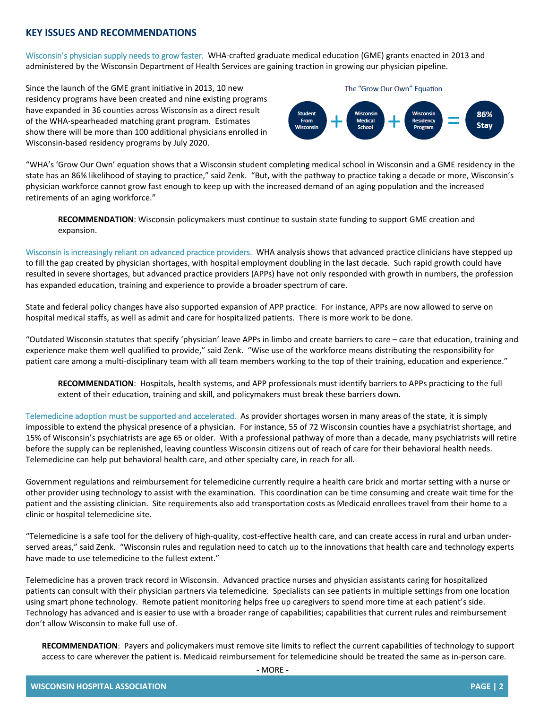## **KEY ISSUES AND RECOMMENDATIONS**

Wisconsin's physician supply needs to grow faster.WHA-crafted graduate medical education (GME) grants enacted in 2013 and administered by the Wisconsin Department of Health Services are gaining traction in growing our physician pipeline.

Since the launch of the GME grant initiative in 2013, 10 new residency programs have been created and nine existing programs have expanded in 36 counties across Wisconsin as a direct result of the WHA-spearheaded matching grant program. Estimates show there will be more than 100 additional physicians enrolled in Wisconsin-based residency programs by July 2020.



"WHA's 'Grow Our Own' equation shows that a Wisconsin student completing medical school in Wisconsin and a GME residency in the state has an 86% likelihood of staying to practice," said Zenk. "But, with the pathway to practice taking a decade or more, Wisconsin's physician workforce cannot grow fast enough to keep up with the increased demand of an aging population and the increased retirements of an aging workforce."

**RECOMMENDATION**: Wisconsin policymakers must continue to sustain state funding to support GME creation and expansion.

Wisconsin is increasingly reliant on advanced practice providers. WHA analysis shows that advanced practice clinicians have stepped up to fill the gap created by physician shortages, with hospital employment doubling in the last decade. Such rapid growth could have resulted in severe shortages, but advanced practice providers (APPs) have not only responded with growth in numbers, the profession has expanded education, training and experience to provide a broader spectrum of care.

State and federal policy changes have also supported expansion of APP practice. For instance, APPs are now allowed to serve on hospital medical staffs, as well as admit and care for hospitalized patients. There is more work to be done.

"Outdated Wisconsin statutes that specify 'physician' leave APPs in limbo and create barriers to care – care that education, training and experience make them well qualified to provide," said Zenk. "Wise use of the workforce means distributing the responsibility for patient care among a multi-disciplinary team with all team members working to the top of their training, education and experience."

**RECOMMENDATION**: Hospitals, health systems, and APP professionals must identify barriers to APPs practicing to the full extent of their education, training and skill, and policymakers must break these barriers down.

Telemedicine adoption must be supported and accelerated. As provider shortages worsen in many areas of the state, it is simply impossible to extend the physical presence of a physician. For instance, 55 of 72 Wisconsin counties have a psychiatrist shortage, and 15% of Wisconsin's psychiatrists are age 65 or older. With a professional pathway of more than a decade, many psychiatrists will retire before the supply can be replenished, leaving countless Wisconsin citizens out of reach of care for their behavioral health needs. Telemedicine can help put behavioral health care, and other specialty care, in reach for all.

Government regulations and reimbursement for telemedicine currently require a health care brick and mortar setting with a nurse or other provider using technology to assist with the examination. This coordination can be time consuming and create wait time for the patient and the assisting clinician. Site requirements also add transportation costs as Medicaid enrollees travel from their home to a clinic or hospital telemedicine site.

"Telemedicine is a safe tool for the delivery of high-quality, cost-effective health care, and can create access in rural and urban underserved areas," said Zenk. "Wisconsin rules and regulation need to catch up to the innovations that health care and technology experts have made to use telemedicine to the fullest extent."

Telemedicine has a proven track record in Wisconsin. Advanced practice nurses and physician assistants caring for hospitalized patients can consult with their physician partners via telemedicine. Specialists can see patients in multiple settings from one location using smart phone technology. Remote patient monitoring helps free up caregivers to spend more time at each patient's side. Technology has advanced and is easier to use with a broader range of capabilities; capabilities that current rules and reimbursement don't allow Wisconsin to make full use of.

**RECOMMENDATION**: Payers and policymakers must remove site limits to reflect the current capabilities of technology to support access to care wherever the patient is. Medicaid reimbursement for telemedicine should be treated the same as in-person care.

- MORE -